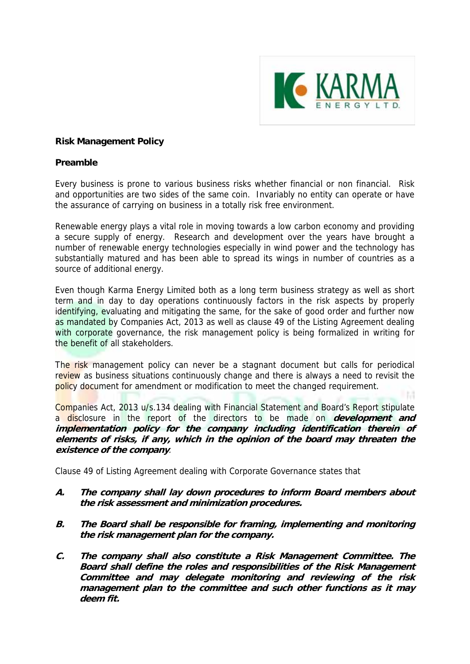

# **Risk Management Policy**

#### **Preamble**

Every business is prone to various business risks whether financial or non financial. Risk and opportunities are two sides of the same coin. Invariably no entity can operate or have the assurance of carrying on business in a totally risk free environment.

Renewable energy plays a vital role in moving towards a low carbon economy and providing a secure supply of energy. Research and development over the years have brought a number of renewable energy technologies especially in wind power and the technology has substantially matured and has been able to spread its wings in number of countries as a source of additional energy.

Even though Karma Energy Limited both as a long term business strategy as well as short term and in day to day operations continuously factors in the risk aspects by properly identifying, evaluating and mitigating the same, for the sake of good order and further now as mandated by Companies Act, 2013 as well as clause 49 of the Listing Agreement dealing with corporate governance, the risk management policy is being formalized in writing for the benefit of all stakeholders.

The risk management policy can never be a stagnant document but calls for periodical review as business situations continuously change and there is always a need to revisit the policy document for amendment or modification to meet the changed requirement.

Companies Act, 2013 u/s.134 dealing with Financial Statement and Board's Report stipulate a disclosure in the report of the directors to be made on **development and implementation policy for the company including identification therein of elements of risks, if any, which in the opinion of the board may threaten the existence of the company**.

Clause 49 of Listing Agreement dealing with Corporate Governance states that

- **A. The company shall lay down procedures to inform Board members about the risk assessment and minimization procedures.**
- **B. The Board shall be responsible for framing, implementing and monitoring the risk management plan for the company.**
- **C. The company shall also constitute a Risk Management Committee. The Board shall define the roles and responsibilities of the Risk Management Committee and may delegate monitoring and reviewing of the risk management plan to the committee and such other functions as it may deem fit.**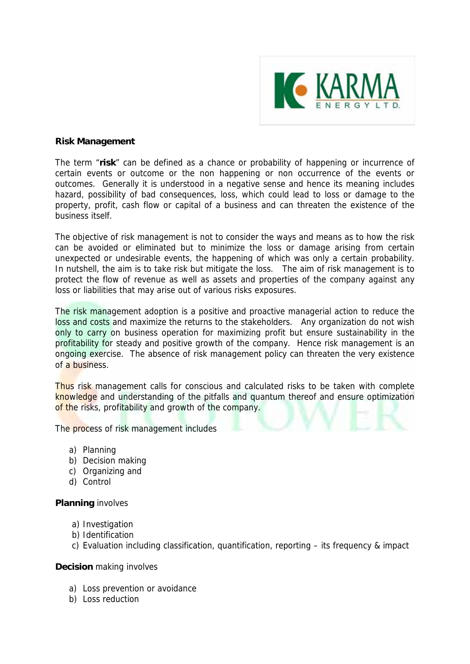

#### **Risk Management**

The term "**risk**" can be defined as a chance or probability of happening or incurrence of certain events or outcome or the non happening or non occurrence of the events or outcomes. Generally it is understood in a negative sense and hence its meaning includes hazard, possibility of bad consequences, loss, which could lead to loss or damage to the property, profit, cash flow or capital of a business and can threaten the existence of the business itself.

The objective of risk management is not to consider the ways and means as to how the risk can be avoided or eliminated but to minimize the loss or damage arising from certain unexpected or undesirable events, the happening of which was only a certain probability. In nutshell, the aim is to take risk but mitigate the loss. The aim of risk management is to protect the flow of revenue as well as assets and properties of the company against any loss or liabilities that may arise out of various risks exposures.

The risk management adoption is a positive and proactive managerial action to reduce the loss and costs and maximize the returns to the stakeholders. Any organization do not wish only to carry on business operation for maximizing profit but ensure sustainability in the profitability for steady and positive growth of the company. Hence risk management is an ongoing exercise. The absence of risk management policy can threaten the very existence of a business.

Thus risk management calls for conscious and calculated risks to be taken with complete knowledge and understanding of the pitfalls and quantum thereof and ensure optimization of the risks, profitability and growth of the company.

The process of risk management includes

- a) Planning
- b) Decision making
- c) Organizing and
- d) Control

## **Planning** involves

- a) Investigation
- b) Identification
- c) Evaluation including classification, quantification, reporting its frequency & impact

#### **Decision** making involves

- a) Loss prevention or avoidance
- b) Loss reduction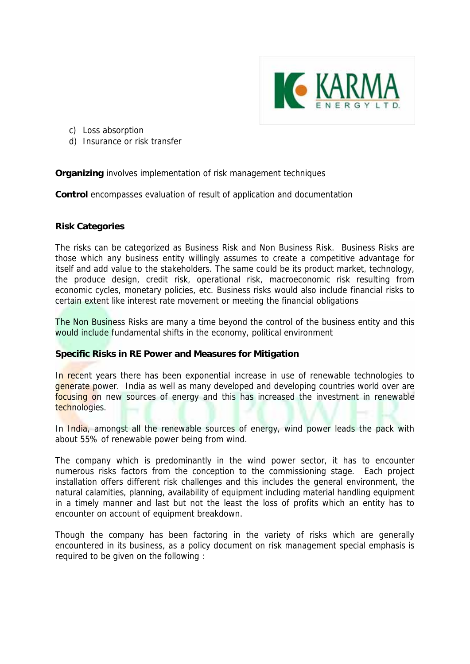

- c) Loss absorption
- d) Insurance or risk transfer

# **Organizing** involves implementation of risk management techniques

**Control** encompasses evaluation of result of application and documentation

# **Risk Categories**

The risks can be categorized as Business Risk and Non Business Risk. Business Risks are those which any business entity willingly assumes to create a competitive advantage for itself and add value to the stakeholders. The same could be its product market, technology, the produce design, credit risk, operational risk, macroeconomic risk resulting from economic cycles, monetary policies, etc. Business risks would also include financial risks to certain extent like interest rate movement or meeting the financial obligations

The Non Business Risks are many a time beyond the control of the business entity and this would include fundamental shifts in the economy, political environment

## **Specific Risks in RE Power and Measures for Mitigation**

In recent years there has been exponential increase in use of renewable technologies to generate power. India as well as many developed and developing countries world over are focusing on new sources of energy and this has increased the investment in renewable technologies.

In India, amongst all the renewable sources of energy, wind power leads the pack with about 55% of renewable power being from wind.

The company which is predominantly in the wind power sector, it has to encounter numerous risks factors from the conception to the commissioning stage. Each project installation offers different risk challenges and this includes the general environment, the natural calamities, planning, availability of equipment including material handling equipment in a timely manner and last but not the least the loss of profits which an entity has to encounter on account of equipment breakdown.

Though the company has been factoring in the variety of risks which are generally encountered in its business, as a policy document on risk management special emphasis is required to be given on the following :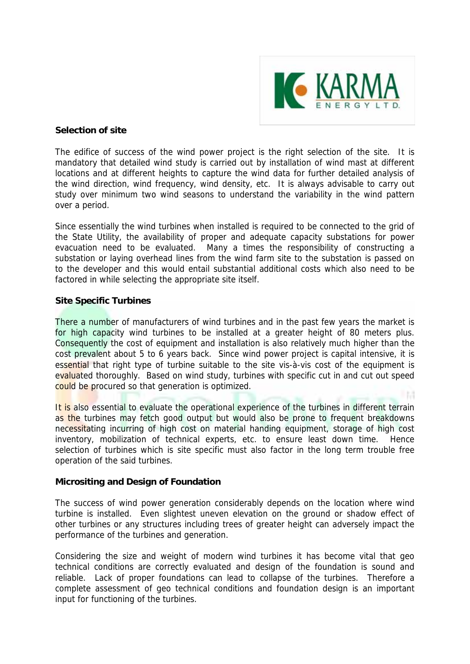

## **Selection of site**

The edifice of success of the wind power project is the right selection of the site. It is mandatory that detailed wind study is carried out by installation of wind mast at different locations and at different heights to capture the wind data for further detailed analysis of the wind direction, wind frequency, wind density, etc. It is always advisable to carry out study over minimum two wind seasons to understand the variability in the wind pattern over a period.

Since essentially the wind turbines when installed is required to be connected to the grid of the State Utility, the availability of proper and adequate capacity substations for power evacuation need to be evaluated. Many a times the responsibility of constructing a substation or laying overhead lines from the wind farm site to the substation is passed on to the developer and this would entail substantial additional costs which also need to be factored in while selecting the appropriate site itself.

# **Site Specific Turbines**

There a number of manufacturers of wind turbines and in the past few years the market is for high capacity wind turbines to be installed at a greater height of 80 meters plus. Consequently the cost of equipment and installation is also relatively much higher than the cost prevalent about 5 to 6 years back. Since wind power project is capital intensive, it is essential that right type of turbine suitable to the site vis-à-vis cost of the equipment is evaluated thoroughly. Based on wind study, turbines with specific cut in and cut out speed could be procured so that generation is optimized.

It is also essential to evaluate the operational experience of the turbines in different terrain as the turbines may fetch good output but would also be prone to frequent breakdowns necessitating incurring of high cost on material handing equipment, storage of high cost inventory, mobilization of technical experts, etc. to ensure least down time. Hence selection of turbines which is site specific must also factor in the long term trouble free operation of the said turbines.

# **Micrositing and Design of Foundation**

The success of wind power generation considerably depends on the location where wind turbine is installed. Even slightest uneven elevation on the ground or shadow effect of other turbines or any structures including trees of greater height can adversely impact the performance of the turbines and generation.

Considering the size and weight of modern wind turbines it has become vital that geo technical conditions are correctly evaluated and design of the foundation is sound and reliable. Lack of proper foundations can lead to collapse of the turbines. Therefore a complete assessment of geo technical conditions and foundation design is an important input for functioning of the turbines.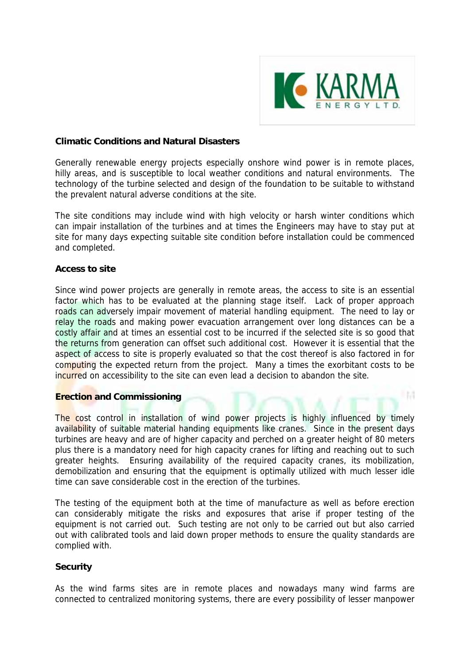

l bi

#### **Climatic Conditions and Natural Disasters**

Generally renewable energy projects especially onshore wind power is in remote places, hilly areas, and is susceptible to local weather conditions and natural environments. The technology of the turbine selected and design of the foundation to be suitable to withstand the prevalent natural adverse conditions at the site.

The site conditions may include wind with high velocity or harsh winter conditions which can impair installation of the turbines and at times the Engineers may have to stay put at site for many days expecting suitable site condition before installation could be commenced and completed.

#### **Access to site**

Since wind power projects are generally in remote areas, the access to site is an essential factor which has to be evaluated at the planning stage itself. Lack of proper approach roads can adversely impair movement of material handling equipment. The need to lay or relay the roads and making power evacuation arrangement over long distances can be a costly affair and at times an essential cost to be incurred if the selected site is so good that the returns from generation can offset such additional cost. However it is essential that the aspect of access to site is properly evaluated so that the cost thereof is also factored in for computing the expected return from the project. Many a times the exorbitant costs to be incurred on accessibility to the site can even lead a decision to abandon the site.

#### **Erection and Commissioning**

The cost control in installation of wind power projects is highly influenced by timely availability of suitable material handing equipments like cranes. Since in the present days turbines are heavy and are of higher capacity and perched on a greater height of 80 meters plus there is a mandatory need for high capacity cranes for lifting and reaching out to such greater heights. Ensuring availability of the required capacity cranes, its mobilization, demobilization and ensuring that the equipment is optimally utilized with much lesser idle time can save considerable cost in the erection of the turbines.

The testing of the equipment both at the time of manufacture as well as before erection can considerably mitigate the risks and exposures that arise if proper testing of the equipment is not carried out. Such testing are not only to be carried out but also carried out with calibrated tools and laid down proper methods to ensure the quality standards are complied with.

#### **Security**

As the wind farms sites are in remote places and nowadays many wind farms are connected to centralized monitoring systems, there are every possibility of lesser manpower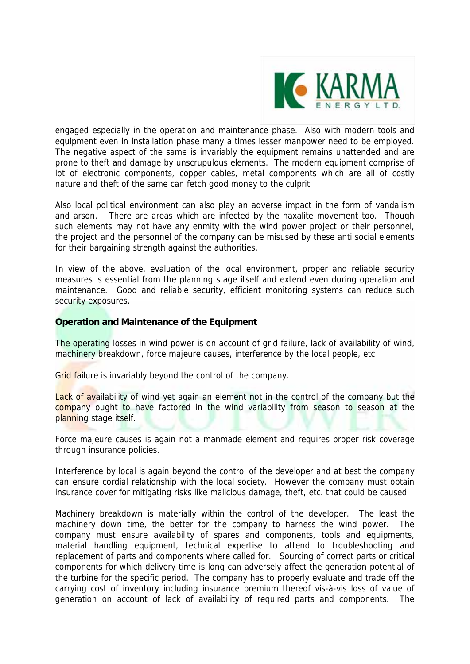

engaged especially in the operation and maintenance phase. Also with modern tools and equipment even in installation phase many a times lesser manpower need to be employed. The negative aspect of the same is invariably the equipment remains unattended and are prone to theft and damage by unscrupulous elements. The modern equipment comprise of lot of electronic components, copper cables, metal components which are all of costly nature and theft of the same can fetch good money to the culprit.

Also local political environment can also play an adverse impact in the form of vandalism and arson. There are areas which are infected by the naxalite movement too. Though such elements may not have any enmity with the wind power project or their personnel, the project and the personnel of the company can be misused by these anti social elements for their bargaining strength against the authorities.

In view of the above, evaluation of the local environment, proper and reliable security measures is essential from the planning stage itself and extend even during operation and maintenance. Good and reliable security, efficient monitoring systems can reduce such security exposures.

# **Operation and Maintenance of the Equipment**

The operating losses in wind power is on account of grid failure, lack of availability of wind, machinery breakdown, force majeure causes, interference by the local people, etc

Grid failure is invariably beyond the control of the company.

Lack of availability of wind yet again an element not in the control of the company but the company ought to have factored in the wind variability from season to season at the planning stage itself.

Force majeure causes is again not a manmade element and requires proper risk coverage through insurance policies.

Interference by local is again beyond the control of the developer and at best the company can ensure cordial relationship with the local society. However the company must obtain insurance cover for mitigating risks like malicious damage, theft, etc. that could be caused

Machinery breakdown is materially within the control of the developer. The least the machinery down time, the better for the company to harness the wind power. The company must ensure availability of spares and components, tools and equipments, material handling equipment, technical expertise to attend to troubleshooting and replacement of parts and components where called for. Sourcing of correct parts or critical components for which delivery time is long can adversely affect the generation potential of the turbine for the specific period. The company has to properly evaluate and trade off the carrying cost of inventory including insurance premium thereof vis-à-vis loss of value of generation on account of lack of availability of required parts and components. The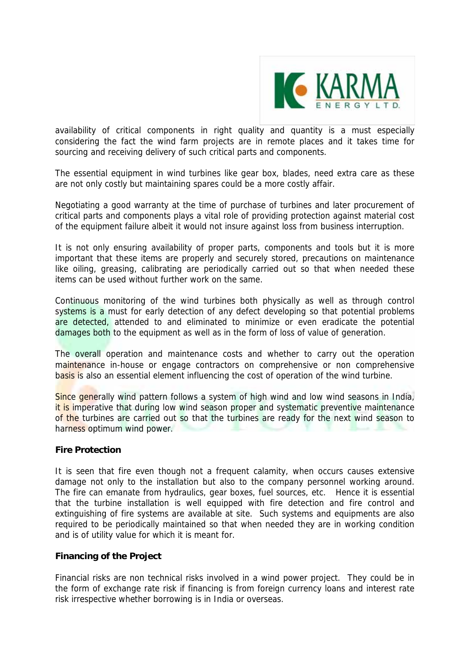

availability of critical components in right quality and quantity is a must especially considering the fact the wind farm projects are in remote places and it takes time for sourcing and receiving delivery of such critical parts and components.

The essential equipment in wind turbines like gear box, blades, need extra care as these are not only costly but maintaining spares could be a more costly affair.

Negotiating a good warranty at the time of purchase of turbines and later procurement of critical parts and components plays a vital role of providing protection against material cost of the equipment failure albeit it would not insure against loss from business interruption.

It is not only ensuring availability of proper parts, components and tools but it is more important that these items are properly and securely stored, precautions on maintenance like oiling, greasing, calibrating are periodically carried out so that when needed these items can be used without further work on the same.

Continuous monitoring of the wind turbines both physically as well as through control systems is a must for early detection of any defect developing so that potential problems are detected, attended to and eliminated to minimize or even eradicate the potential damages both to the equipment as well as in the form of loss of value of generation.

The overall operation and maintenance costs and whether to carry out the operation maintenance in-house or engage contractors on comprehensive or non comprehensive basis is also an essential element influencing the cost of operation of the wind turbine.

Since generally wind pattern follows a system of high wind and low wind seasons in India, it is imperative that during low wind season proper and systematic preventive maintenance of the turbines are carried out so that the turbines are ready for the next wind season to harness optimum wind power.

## **Fire Protection**

It is seen that fire even though not a frequent calamity, when occurs causes extensive damage not only to the installation but also to the company personnel working around. The fire can emanate from hydraulics, gear boxes, fuel sources, etc. Hence it is essential that the turbine installation is well equipped with fire detection and fire control and extinguishing of fire systems are available at site. Such systems and equipments are also required to be periodically maintained so that when needed they are in working condition and is of utility value for which it is meant for.

## **Financing of the Project**

Financial risks are non technical risks involved in a wind power project. They could be in the form of exchange rate risk if financing is from foreign currency loans and interest rate risk irrespective whether borrowing is in India or overseas.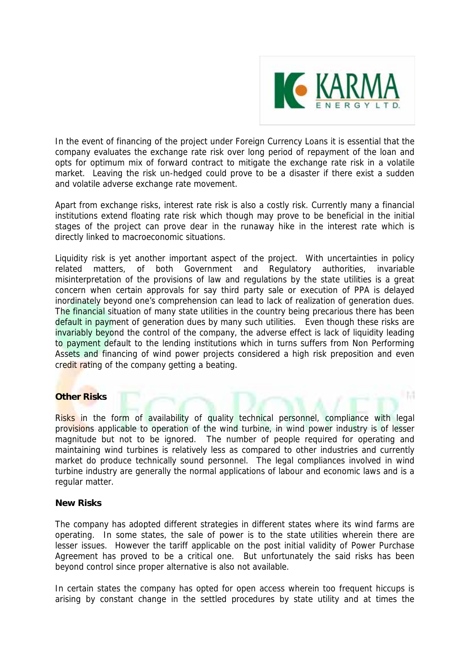

l M

In the event of financing of the project under Foreign Currency Loans it is essential that the company evaluates the exchange rate risk over long period of repayment of the loan and opts for optimum mix of forward contract to mitigate the exchange rate risk in a volatile market. Leaving the risk un-hedged could prove to be a disaster if there exist a sudden and volatile adverse exchange rate movement.

Apart from exchange risks, interest rate risk is also a costly risk. Currently many a financial institutions extend floating rate risk which though may prove to be beneficial in the initial stages of the project can prove dear in the runaway hike in the interest rate which is directly linked to macroeconomic situations.

Liquidity risk is yet another important aspect of the project. With uncertainties in policy related matters, of both Government and Regulatory authorities, invariable misinterpretation of the provisions of law and regulations by the state utilities is a great concern when certain approvals for say third party sale or execution of PPA is delayed inordinately beyond one's comprehension can lead to lack of realization of generation dues. The financial situation of many state utilities in the country being precarious there has been default in payment of generation dues by many such utilities. Even though these risks are invariably beyond the control of the company, the adverse effect is lack of liquidity leading to payment default to the lending institutions which in turns suffers from Non Performing Assets and financing of wind power projects considered a high risk preposition and even credit rating of the company getting a beating.

## **Other Risks**

Risks in the form of availability of quality technical personnel, compliance with legal provisions applicable to operation of the wind turbine, in wind power industry is of lesser magnitude but not to be ignored. The number of people required for operating and maintaining wind turbines is relatively less as compared to other industries and currently market do produce technically sound personnel. The legal compliances involved in wind turbine industry are generally the normal applications of labour and economic laws and is a regular matter.

#### **New Risks**

The company has adopted different strategies in different states where its wind farms are operating. In some states, the sale of power is to the state utilities wherein there are lesser issues. However the tariff applicable on the post initial validity of Power Purchase Agreement has proved to be a critical one. But unfortunately the said risks has been beyond control since proper alternative is also not available.

In certain states the company has opted for open access wherein too frequent hiccups is arising by constant change in the settled procedures by state utility and at times the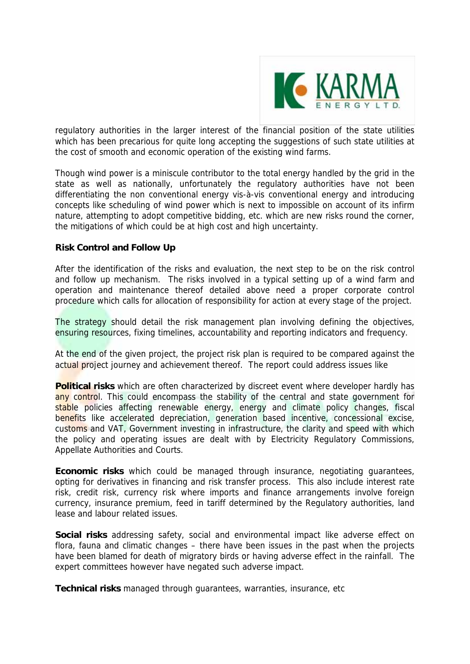

regulatory authorities in the larger interest of the financial position of the state utilities which has been precarious for quite long accepting the suggestions of such state utilities at the cost of smooth and economic operation of the existing wind farms.

Though wind power is a miniscule contributor to the total energy handled by the grid in the state as well as nationally, unfortunately the regulatory authorities have not been differentiating the non conventional energy vis-à-vis conventional energy and introducing concepts like scheduling of wind power which is next to impossible on account of its infirm nature, attempting to adopt competitive bidding, etc. which are new risks round the corner, the mitigations of which could be at high cost and high uncertainty.

# **Risk Control and Follow Up**

After the identification of the risks and evaluation, the next step to be on the risk control and follow up mechanism. The risks involved in a typical setting up of a wind farm and operation and maintenance thereof detailed above need a proper corporate control procedure which calls for allocation of responsibility for action at every stage of the project.

The strategy should detail the risk management plan involving defining the objectives, ensuring resources, fixing timelines, accountability and reporting indicators and frequency.

At the end of the given project, the project risk plan is required to be compared against the actual project journey and achievement thereof. The report could address issues like

**Political risks** which are often characterized by discreet event where developer hardly has any control. This could encompass the stability of the central and state government for stable policies affecting renewable energy, energy and climate policy changes, fiscal benefits like accelerated depreciation, generation based incentive, concessional excise, customs and VAT, Government investing in infrastructure, the clarity and speed with which the policy and operating issues are dealt with by Electricity Regulatory Commissions, Appellate Authorities and Courts.

**Economic risks** which could be managed through insurance, negotiating guarantees, opting for derivatives in financing and risk transfer process. This also include interest rate risk, credit risk, currency risk where imports and finance arrangements involve foreign currency, insurance premium, feed in tariff determined by the Regulatory authorities, land lease and labour related issues.

**Social risks** addressing safety, social and environmental impact like adverse effect on flora, fauna and climatic changes – there have been issues in the past when the projects have been blamed for death of migratory birds or having adverse effect in the rainfall. The expert committees however have negated such adverse impact.

**Technical risks** managed through guarantees, warranties, insurance, etc